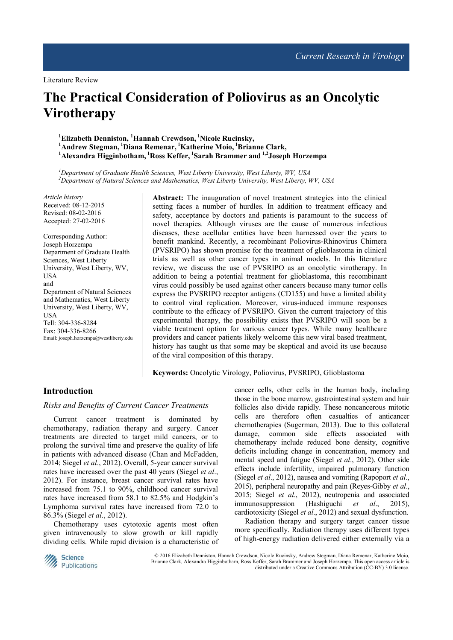Literature Review

# **The Practical Consideration of Poliovirus as an Oncolytic Virotherapy**

**<sup>1</sup>Elizabeth Denniston, <sup>1</sup>Hannah Crewdson,<sup>1</sup>Nicole Rucinsky, <sup>1</sup>Andrew Stegman,<sup>1</sup>Diana Remenar,<sup>1</sup>Katherine Moio,<sup>1</sup>Brianne Clark, <sup>1</sup>Alexandra Higginbotham,<sup>1</sup>Ross Keffer,<sup>1</sup>Sarah Brammer and 1,2Joseph Horzempa**

*<sup>1</sup>Department of Graduate Health Sciences, West Liberty University, West Liberty, WV, USA <sup>2</sup>Department of Natural Sciences and Mathematics, West Liberty University, West Liberty, WV, USA* 

*Article history*  Received: 08-12-2015 Revised: 08-02-2016 Accepted: 27-02-2016

Corresponding Author: Joseph Horzempa Department of Graduate Health Sciences, West Liberty University, West Liberty, WV, **IISA** and Department of Natural Sciences and Mathematics, West Liberty University, West Liberty, WV, USA Tell: 304-336-8284 Fax: 304-336-8266 Email: joseph.horzempa@westliberty.edu **Abstract:** The inauguration of novel treatment strategies into the clinical setting faces a number of hurdles. In addition to treatment efficacy and safety, acceptance by doctors and patients is paramount to the success of novel therapies. Although viruses are the cause of numerous infectious diseases, these acellular entities have been harnessed over the years to benefit mankind. Recently, a recombinant Poliovirus-Rhinovirus Chimera (PVSRIPO) has shown promise for the treatment of glioblastoma in clinical trials as well as other cancer types in animal models. In this literature review, we discuss the use of PVSRIPO as an oncolytic virotherapy. In addition to being a potential treatment for glioblastoma, this recombinant virus could possibly be used against other cancers because many tumor cells express the PVSRIPO receptor antigens (CD155) and have a limited ability to control viral replication. Moreover, virus-induced immune responses contribute to the efficacy of PVSRIPO. Given the current trajectory of this experimental therapy, the possibility exists that PVSRIPO will soon be a viable treatment option for various cancer types. While many healthcare providers and cancer patients likely welcome this new viral based treatment, history has taught us that some may be skeptical and avoid its use because of the viral composition of this therapy.

**Keywords:** Oncolytic Virology, Poliovirus, PVSRIPO, Glioblastoma

# **Introduction**

#### *Risks and Benefits of Current Cancer Treatments*

Current cancer treatment is dominated by chemotherapy, radiation therapy and surgery. Cancer treatments are directed to target mild cancers, or to prolong the survival time and preserve the quality of life in patients with advanced disease (Chan and McFadden, 2014; Siegel *et al*., 2012). Overall, 5-year cancer survival rates have increased over the past 40 years (Siegel *et al*., 2012). For instance, breast cancer survival rates have increased from 75.1 to 90%, childhood cancer survival rates have increased from 58.1 to 82.5% and Hodgkin's Lymphoma survival rates have increased from 72.0 to 86.3% (Siegel *et al*., 2012).

Chemotherapy uses cytotoxic agents most often given intravenously to slow growth or kill rapidly dividing cells. While rapid division is a characteristic of cancer cells, other cells in the human body, including those in the bone marrow, gastrointestinal system and hair follicles also divide rapidly. These noncancerous mitotic cells are therefore often casualties of anticancer chemotherapies (Sugerman, 2013). Due to this collateral damage, common side effects associated with chemotherapy include reduced bone density, cognitive deficits including change in concentration, memory and mental speed and fatigue (Siegel *et al*., 2012). Other side effects include infertility, impaired pulmonary function (Siegel *et al*., 2012), nausea and vomiting (Rapoport *et al*., 2015), peripheral neuropathy and pain (Reyes-Gibby *et al*., 2015; Siegel *et al*., 2012), neutropenia and associated immunosuppression (Hashiguchi *et al*., 2015), cardiotoxicity (Siegel *et al*., 2012) and sexual dysfunction.

Radiation therapy and surgery target cancer tissue more specifically. Radiation therapy uses different types of high-energy radiation delivered either externally via a



© 2016 Elizabeth Denniston, Hannah Crewdson, Nicole Rucinsky, Andrew Stegman, Diana Remenar, Katherine Moio, Brianne Clark, Alexandra Higginbotham, Ross Keffer, Sarah Brammer and Joseph Horzempa. This open access article is distributed under a Creative Commons Attribution (CC-BY) 3.0 license.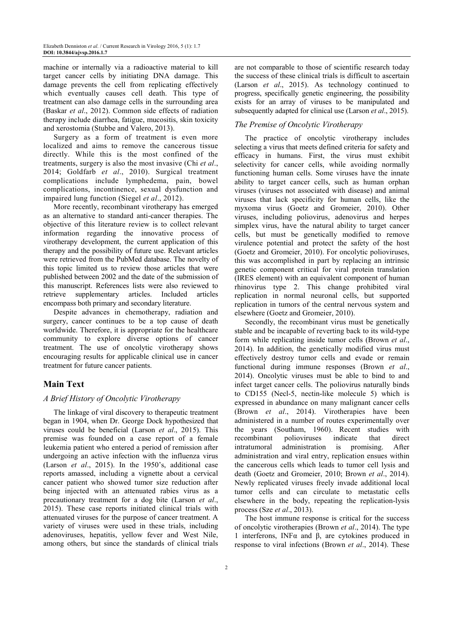machine or internally via a radioactive material to kill target cancer cells by initiating DNA damage. This damage prevents the cell from replicating effectively which eventually causes cell death. This type of treatment can also damage cells in the surrounding area (Baskar *et al*., 2012). Common side effects of radiation therapy include diarrhea, fatigue, mucositis, skin toxicity and xerostomia (Stubbe and Valero, 2013).

Surgery as a form of treatment is even more localized and aims to remove the cancerous tissue directly. While this is the most confined of the treatments, surgery is also the most invasive (Chi *et al*., 2014; Goldfarb *et al*., 2010). Surgical treatment complications include lymphedema, pain, bowel complications, incontinence, sexual dysfunction and impaired lung function (Siegel *et al*., 2012).

More recently, recombinant virotherapy has emerged as an alternative to standard anti-cancer therapies. The objective of this literature review is to collect relevant information regarding the innovative process of virotherapy development, the current application of this therapy and the possibility of future use. Relevant articles were retrieved from the PubMed database. The novelty of this topic limited us to review those articles that were published between 2002 and the date of the submission of this manuscript. References lists were also reviewed to retrieve supplementary articles. Included articles encompass both primary and secondary literature.

Despite advances in chemotherapy, radiation and surgery, cancer continues to be a top cause of death worldwide. Therefore, it is appropriate for the healthcare community to explore diverse options of cancer treatment. The use of oncolytic virotherapy shows encouraging results for applicable clinical use in cancer treatment for future cancer patients.

## **Main Text**

#### *A Brief History of Oncolytic Virotherapy*

The linkage of viral discovery to therapeutic treatment began in 1904, when Dr. George Dock hypothesized that viruses could be beneficial (Larson *et al*., 2015). This premise was founded on a case report of a female leukemia patient who entered a period of remission after undergoing an active infection with the influenza virus (Larson *et al*., 2015). In the 1950's, additional case reports amassed, including a vignette about a cervical cancer patient who showed tumor size reduction after being injected with an attenuated rabies virus as a precautionary treatment for a dog bite (Larson *et al*., 2015). These case reports initiated clinical trials with attenuated viruses for the purpose of cancer treatment. A variety of viruses were used in these trials, including adenoviruses, hepatitis, yellow fever and West Nile, among others, but since the standards of clinical trials

are not comparable to those of scientific research today the success of these clinical trials is difficult to ascertain (Larson *et al*., 2015). As technology continued to progress, specifically genetic engineering, the possibility exists for an array of viruses to be manipulated and subsequently adapted for clinical use (Larson *et al*., 2015).

#### *The Premise of Oncolytic Virotherapy*

The practice of oncolytic virotherapy includes selecting a virus that meets defined criteria for safety and efficacy in humans. First, the virus must exhibit selectivity for cancer cells, while avoiding normally functioning human cells. Some viruses have the innate ability to target cancer cells, such as human orphan viruses (viruses not associated with disease) and animal viruses that lack specificity for human cells, like the myxoma virus (Goetz and Gromeier, 2010). Other viruses, including poliovirus, adenovirus and herpes simplex virus, have the natural ability to target cancer cells, but must be genetically modified to remove virulence potential and protect the safety of the host (Goetz and Gromeier, 2010). For oncolytic polioviruses, this was accomplished in part by replacing an intrinsic genetic component critical for viral protein translation (IRES element) with an equivalent component of human rhinovirus type 2. This change prohibited viral replication in normal neuronal cells, but supported replication in tumors of the central nervous system and elsewhere (Goetz and Gromeier, 2010).

Secondly, the recombinant virus must be genetically stable and be incapable of reverting back to its wild-type form while replicating inside tumor cells (Brown *et al*., 2014). In addition, the genetically modified virus must effectively destroy tumor cells and evade or remain functional during immune responses (Brown *et al*., 2014). Oncolytic viruses must be able to bind to and infect target cancer cells. The poliovirus naturally binds to CD155 (Necl-5, nectin-like molecule 5) which is expressed in abundance on many malignant cancer cells (Brown *et al*., 2014). Virotherapies have been administered in a number of routes experimentally over the years (Southam, 1960). Recent studies with recombinant polioviruses indicate that direct intratumoral administration is promising. After administration and viral entry, replication ensues within the cancerous cells which leads to tumor cell lysis and death (Goetz and Gromeier, 2010; Brown *et al*., 2014). Newly replicated viruses freely invade additional local tumor cells and can circulate to metastatic cells elsewhere in the body, repeating the replication-lysis process (Sze *et al*., 2013).

The host immune response is critical for the success of oncolytic virotherapies (Brown *et al*., 2014). The type 1 interferons, INFα and β, are cytokines produced in response to viral infections (Brown *et al*., 2014). These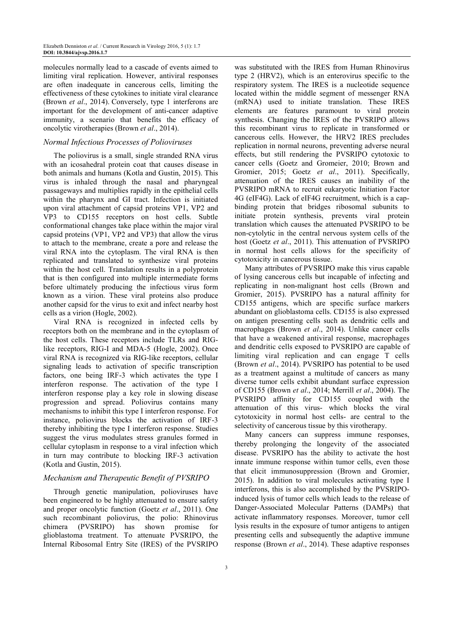molecules normally lead to a cascade of events aimed to limiting viral replication. However, antiviral responses are often inadequate in cancerous cells, limiting the effectiveness of these cytokines to initiate viral clearance (Brown *et al*., 2014). Conversely, type 1 interferons are important for the development of anti-cancer adaptive immunity, a scenario that benefits the efficacy of oncolytic virotherapies (Brown *et al*., 2014).

#### *Normal Infectious Processes of Polioviruses*

The poliovirus is a small, single stranded RNA virus with an icosahedral protein coat that causes disease in both animals and humans (Kotla and Gustin, 2015). This virus is inhaled through the nasal and pharyngeal passageways and multiplies rapidly in the epithelial cells within the pharynx and GI tract. Infection is initiated upon viral attachment of capsid proteins VP1, VP2 and VP3 to CD155 receptors on host cells. Subtle conformational changes take place within the major viral capsid proteins (VP1, VP2 and VP3) that allow the virus to attach to the membrane, create a pore and release the viral RNA into the cytoplasm. The viral RNA is then replicated and translated to synthesize viral proteins within the host cell. Translation results in a polyprotein that is then configured into multiple intermediate forms before ultimately producing the infectious virus form known as a virion. These viral proteins also produce another capsid for the virus to exit and infect nearby host cells as a virion (Hogle, 2002).

Viral RNA is recognized in infected cells by receptors both on the membrane and in the cytoplasm of the host cells. These receptors include TLRs and RIGlike receptors, RIG-I and MDA-5 (Hogle, 2002). Once viral RNA is recognized via RIG-like receptors, cellular signaling leads to activation of specific transcription factors, one being IRF-3 which activates the type I interferon response. The activation of the type I interferon response play a key role in slowing disease progression and spread. Poliovirus contains many mechanisms to inhibit this type I interferon response. For instance, poliovirus blocks the activation of IRF-3 thereby inhibiting the type I interferon response. Studies suggest the virus modulates stress granules formed in cellular cytoplasm in response to a viral infection which in turn may contribute to blocking IRF-3 activation (Kotla and Gustin, 2015).

#### *Mechanism and Therapeutic Benefit of PVSRIPO*

Through genetic manipulation, polioviruses have been engineered to be highly attenuated to ensure safety and proper oncolytic function (Goetz *et al*., 2011). One such recombinant poliovirus, the polio: Rhinovirus chimera (PVSRIPO) has shown promise for glioblastoma treatment. To attenuate PVSRIPO, the Internal Ribosomal Entry Site (IRES) of the PVSRIPO

was substituted with the IRES from Human Rhinovirus type 2 (HRV2), which is an enterovirus specific to the respiratory system. The IRES is a nucleotide sequence located within the middle segment of messenger RNA (mRNA) used to initiate translation. These IRES elements are features paramount to viral protein synthesis. Changing the IRES of the PVSRIPO allows this recombinant virus to replicate in transformed or cancerous cells. However, the HRV2 IRES precludes replication in normal neurons, preventing adverse neural effects, but still rendering the PVSRIPO cytotoxic to cancer cells (Goetz and Gromeier, 2010; Brown and Gromier, 2015; Goetz *et al*., 2011). Specifically, attenuation of the IRES causes an inability of the PVSRIPO mRNA to recruit eukaryotic Initiation Factor 4G (eIF4G). Lack of eIF4G recruitment, which is a capbinding protein that bridges ribosomal subunits to initiate protein synthesis, prevents viral protein translation which causes the attenuated PVSRIPO to be non-cytolytic in the central nervous system cells of the host (Goetz *et al*., 2011). This attenuation of PVSRIPO in normal host cells allows for the specificity of cytotoxicity in cancerous tissue.

Many attributes of PVSRIPO make this virus capable of lysing cancerous cells but incapable of infecting and replicating in non-malignant host cells (Brown and Gromier, 2015). PVSRIPO has a natural affinity for CD155 antigens, which are specific surface markers abundant on glioblastoma cells. CD155 is also expressed on antigen presenting cells such as dendritic cells and macrophages (Brown *et al*., 2014). Unlike cancer cells that have a weakened antiviral response, macrophages and dendritic cells exposed to PVSRIPO are capable of limiting viral replication and can engage T cells (Brown *et al*., 2014). PVSRIPO has potential to be used as a treatment against a multitude of cancers as many diverse tumor cells exhibit abundant surface expression of CD155 (Brown *et al*., 2014; Merrill *et al*., 2004). The PVSRIPO affinity for CD155 coupled with the attenuation of this virus- which blocks the viral cytotoxicity in normal host cells- are central to the selectivity of cancerous tissue by this virotherapy.

Many cancers can suppress immune responses, thereby prolonging the longevity of the associated disease. PVSRIPO has the ability to activate the host innate immune response within tumor cells, even those that elicit immunosuppression (Brown and Gromier, 2015). In addition to viral molecules activating type I interferons, this is also accomplished by the PVSRIPOinduced lysis of tumor cells which leads to the release of Danger-Associated Molecular Patterns (DAMPs) that activate inflammatory responses. Moreover, tumor cell lysis results in the exposure of tumor antigens to antigen presenting cells and subsequently the adaptive immune response (Brown *et al*., 2014). These adaptive responses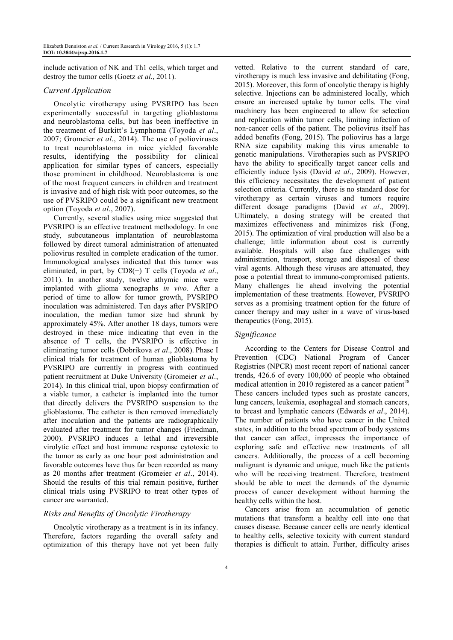include activation of NK and Th1 cells, which target and destroy the tumor cells (Goetz *et al*., 2011).

## *Current Application*

Oncolytic virotherapy using PVSRIPO has been experimentally successful in targeting glioblastoma and neuroblastoma cells, but has been ineffective in the treatment of Burkitt's Lymphoma (Toyoda *et al*., 2007; Gromeier *et al*., 2014). The use of polioviruses to treat neuroblastoma in mice yielded favorable results, identifying the possibility for clinical application for similar types of cancers, especially those prominent in childhood. Neuroblastoma is one of the most frequent cancers in children and treatment is invasive and of high risk with poor outcomes, so the use of PVSRIPO could be a significant new treatment option (Toyoda *et al*., 2007).

Currently, several studies using mice suggested that PVSRIPO is an effective treatment methodology. In one study, subcutaneous implantation of neuroblastoma followed by direct tumoral administration of attenuated poliovirus resulted in complete eradication of the tumor. Immunological analyses indicated that this tumor was eliminated, in part, by CD8(+) T cells (Toyoda *et al*., 2011). In another study, twelve athymic mice were implanted with glioma xenographs *in vivo*. After a period of time to allow for tumor growth, PVSRIPO inoculation was administered. Ten days after PVSRIPO inoculation, the median tumor size had shrunk by approximately 45%. After another 18 days, tumors were destroyed in these mice indicating that even in the absence of T cells, the PVSRIPO is effective in eliminating tumor cells (Dobrikova *et al*., 2008). Phase I clinical trials for treatment of human glioblastoma by PVSRIPO are currently in progress with continued patient recruitment at Duke University (Gromeier *et al*., 2014). In this clinical trial, upon biopsy confirmation of a viable tumor, a catheter is implanted into the tumor that directly delivers the PVSRIPO suspension to the glioblastoma. The catheter is then removed immediately after inoculation and the patients are radiographically evaluated after treatment for tumor changes (Friedman, 2000). PVSRIPO induces a lethal and irreversible virolytic effect and host immune response cytotoxic to the tumor as early as one hour post administration and favorable outcomes have thus far been recorded as many as 20 months after treatment (Gromeier *et al*., 2014). Should the results of this trial remain positive, further clinical trials using PVSRIPO to treat other types of cancer are warranted.

## *Risks and Benefits of Oncolytic Virotherapy*

Oncolytic virotherapy as a treatment is in its infancy. Therefore, factors regarding the overall safety and optimization of this therapy have not yet been fully vetted. Relative to the current standard of care, virotherapy is much less invasive and debilitating (Fong, 2015). Moreover, this form of oncolytic therapy is highly selective. Injections can be administered locally, which ensure an increased uptake by tumor cells. The viral machinery has been engineered to allow for selection and replication within tumor cells, limiting infection of non-cancer cells of the patient. The poliovirus itself has added benefits (Fong, 2015). The poliovirus has a large RNA size capability making this virus amenable to genetic manipulations. Virotherapies such as PVSRIPO have the ability to specifically target cancer cells and efficiently induce lysis (David *et al*., 2009). However, this efficiency necessitates the development of patient selection criteria. Currently, there is no standard dose for virotherapy as certain viruses and tumors require different dosage paradigms (David *et al*., 2009). Ultimately, a dosing strategy will be created that maximizes effectiveness and minimizes risk (Fong, 2015). The optimization of viral production will also be a challenge; little information about cost is currently available. Hospitals will also face challenges with administration, transport, storage and disposal of these viral agents. Although these viruses are attenuated, they pose a potential threat to immuno-compromised patients. Many challenges lie ahead involving the potential implementation of these treatments. However, PVSRIPO serves as a promising treatment option for the future of cancer therapy and may usher in a wave of virus-based therapeutics (Fong, 2015).

#### *Significance*

According to the Centers for Disease Control and Prevention (CDC) National Program of Cancer Registries (NPCR) most recent report of national cancer trends, 426.6 of every 100,000 of people who obtained medical attention in 2010 registered as a cancer patient<sup>28</sup> These cancers included types such as prostate cancers, lung cancers, leukemia, esophageal and stomach cancers, to breast and lymphatic cancers (Edwards *et al*., 2014). The number of patients who have cancer in the United states, in addition to the broad spectrum of body systems that cancer can affect, impresses the importance of exploring safe and effective new treatments of all cancers. Additionally, the process of a cell becoming malignant is dynamic and unique, much like the patients who will be receiving treatment. Therefore, treatment should be able to meet the demands of the dynamic process of cancer development without harming the healthy cells within the host.

Cancers arise from an accumulation of genetic mutations that transform a healthy cell into one that causes disease. Because cancer cells are nearly identical to healthy cells, selective toxicity with current standard therapies is difficult to attain. Further, difficulty arises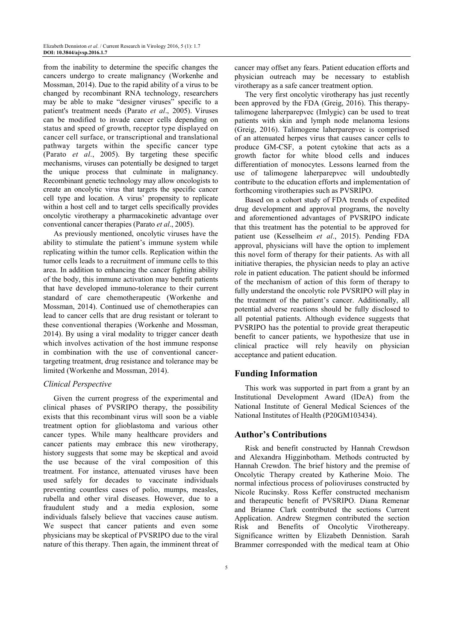from the inability to determine the specific changes the cancers undergo to create malignancy (Workenhe and Mossman, 2014). Due to the rapid ability of a virus to be changed by recombinant RNA technology, researchers may be able to make "designer viruses" specific to a patient's treatment needs (Parato *et al*., 2005). Viruses can be modified to invade cancer cells depending on status and speed of growth, receptor type displayed on cancer cell surface, or transcriptional and translational pathway targets within the specific cancer type (Parato *et al*., 2005). By targeting these specific mechanisms, viruses can potentially be designed to target the unique process that culminate in malignancy. Recombinant genetic technology may allow oncologists to create an oncolytic virus that targets the specific cancer cell type and location. A virus' propensity to replicate within a host cell and to target cells specifically provides oncolytic virotherapy a pharmacokinetic advantage over conventional cancer therapies (Parato *et al*., 2005).

As previously mentioned, oncolytic viruses have the ability to stimulate the patient's immune system while replicating within the tumor cells. Replication within the tumor cells leads to a recruitment of immune cells to this area. In addition to enhancing the cancer fighting ability of the body, this immune activation may benefit patients that have developed immuno-tolerance to their current standard of care chemotherapeutic (Workenhe and Mossman, 2014). Continued use of chemotherapies can lead to cancer cells that are drug resistant or tolerant to these conventional therapies (Workenhe and Mossman, 2014). By using a viral modality to trigger cancer death which involves activation of the host immune response in combination with the use of conventional cancertargeting treatment, drug resistance and tolerance may be limited (Workenhe and Mossman, 2014).

#### *Clinical Perspective*

Given the current progress of the experimental and clinical phases of PVSRIPO therapy, the possibility exists that this recombinant virus will soon be a viable treatment option for glioblastoma and various other cancer types. While many healthcare providers and cancer patients may embrace this new virotherapy, history suggests that some may be skeptical and avoid the use because of the viral composition of this treatment. For instance, attenuated viruses have been used safely for decades to vaccinate individuals preventing countless cases of polio, mumps, measles, rubella and other viral diseases. However, due to a fraudulent study and a media explosion, some individuals falsely believe that vaccines cause autism. We suspect that cancer patients and even some physicians may be skeptical of PVSRIPO due to the viral nature of this therapy. Then again, the imminent threat of

cancer may offset any fears. Patient education efforts and physician outreach may be necessary to establish virotherapy as a safe cancer treatment option.

The very first oncolytic virotherapy has just recently been approved by the FDA (Greig, 2016). This therapytalimogene laherparepvec (Imlygic) can be used to treat patients with skin and lymph node melanoma lesions (Greig, 2016). Talimogene laherparepvec is comprised of an attenuated herpes virus that causes cancer cells to produce GM-CSF, a potent cytokine that acts as a growth factor for white blood cells and induces differentiation of monocytes. Lessons learned from the use of talimogene laherparepvec will undoubtedly contribute to the education efforts and implementation of forthcoming virotherapies such as PVSRIPO.

Based on a cohort study of FDA trends of expedited drug development and approval programs, the novelty and aforementioned advantages of PVSRIPO indicate that this treatment has the potential to be approved for patient use (Kesselheim *et al*., 2015). Pending FDA approval, physicians will have the option to implement this novel form of therapy for their patients. As with all initiative therapies, the physician needs to play an active role in patient education. The patient should be informed of the mechanism of action of this form of therapy to fully understand the oncolytic role PVSRIPO will play in the treatment of the patient's cancer. Additionally, all potential adverse reactions should be fully disclosed to all potential patients. Although evidence suggests that PVSRIPO has the potential to provide great therapeutic benefit to cancer patients, we hypothesize that use in clinical practice will rely heavily on physician acceptance and patient education.

#### **Funding Information**

This work was supported in part from a grant by an Institutional Development Award (IDeA) from the National Institute of General Medical Sciences of the National Institutes of Health (P20GM103434).

## **Author's Contributions**

Risk and benefit constructed by Hannah Crewdson and Alexandra Higginbotham. Methods contructed by Hannah Crewdon. The brief history and the premise of Oncolytic Therapy created by Katherine Moio. The normal infectious process of polioviruses constructed by Nicole Rucinsky. Ross Keffer constructed mechanism and therapeutic benefit of PVSRIPO. Diana Remenar and Brianne Clark contributed the sections Current Application. Andrew Stegmen contributed the section Risk and Benefits of Oncolytic Virothereapy. Significance written by Elizabeth Dennistion. Sarah Brammer corresponded with the medical team at Ohio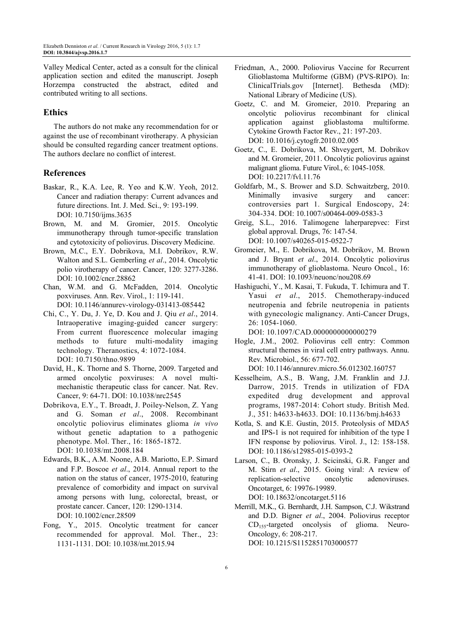Valley Medical Center, acted as a consult for the clinical application section and edited the manuscript. Joseph Horzempa constructed the abstract, edited and contributed writing to all sections.

## **Ethics**

The authors do not make any recommendation for or against the use of recombinant virotherapy. A physician should be consulted regarding cancer treatment options. The authors declare no conflict of interest.

#### **References**

- Baskar, R., K.A. Lee, R. Yeo and K.W. Yeoh, 2012. Cancer and radiation therapy: Current advances and future directions. Int. J. Med. Sci., 9: 193-199. DOI: 10.7150/ijms.3635
- Brown, M. and M. Gromier, 2015. Oncolytic immunotherapy through tumor-specific translation and cytotoxicity of poliovirus. Discovery Medicine.
- Brown, M.C., E.Y. Dobrikova, M.I. Dobrikov, R.W. Walton and S.L. Gemberling *et al*., 2014. Oncolytic polio virotherapy of cancer. Cancer, 120: 3277-3286. DOI: 10.1002/cncr.28862
- Chan, W.M. and G. McFadden, 2014. Oncolytic poxviruses. Ann. Rev. Virol., 1: 119-141. DOI: 10.1146/annurev-virology-031413-085442
- Chi, C., Y. Du, J. Ye, D. Kou and J. Qiu *et al*., 2014. Intraoperative imaging-guided cancer surgery: From current fluorescence molecular imaging methods to future multi-modality imaging technology. Theranostics, 4: 1072-1084. DOI: 10.7150/thno.9899
- David, H., K. Thorne and S. Thorne, 2009. Targeted and armed oncolytic poxviruses: A novel multimechanistic therapeutic class for cancer. Nat. Rev. Cancer, 9: 64-71. DOI: 10.1038/nrc2545
- Dobrikova, E.Y., T. Broadt, J. Poiley-Nelson, Z. Yang and G. Soman *et al*., 2008. Recombinant oncolytic poliovirus eliminates glioma *in vivo* without genetic adaptation to a pathogenic phenotype. Mol. Ther., 16: 1865-1872. DOI: 10.1038/mt.2008.184
- Edwards, B.K., A.M. Noone, A.B. Mariotto, E.P. Simard and F.P. Boscoe *et al*., 2014. Annual report to the nation on the status of cancer, 1975-2010, featuring prevalence of comorbidity and impact on survival among persons with lung, colorectal, breast, or prostate cancer. Cancer, 120: 1290-1314. DOI: 10.1002/cncr.28509
- Fong, Y., 2015. Oncolytic treatment for cancer recommended for approval. Mol. Ther., 23: 1131-1131. DOI: 10.1038/mt.2015.94
- Friedman, A., 2000. Poliovirus Vaccine for Recurrent Glioblastoma Multiforme (GBM) (PVS-RIPO). In: ClinicalTrials.gov [Internet]. Bethesda (MD): National Library of Medicine (US).
- Goetz, C. and M. Gromeier, 2010. Preparing an oncolytic poliovirus recombinant for clinical application against glioblastoma multiforme. Cytokine Growth Factor Rev., 21: 197-203. DOI: 10.1016/j.cytogfr.2010.02.005
- Goetz, C., E. Dobrikova, M. Shveygert, M. Dobrikov and M. Gromeier, 2011. Oncolytic poliovirus against malignant glioma. Future Virol., 6: 1045-1058. DOI: 10.2217/fvl.11.76
- Goldfarb, M., S. Brower and S.D. Schwaitzberg, 2010. Minimally invasive surgery and cancer: controversies part 1. Surgical Endoscopy, 24: 304-334. DOI: 10.1007/s00464-009-0583-3
- Greig, S.L., 2016. Talimogene laherparepvec: First global approval. Drugs, 76: 147-54. DOI: 10.1007/s40265-015-0522-7
- Gromeier, M., E. Dobrikova, M. Dobrikov, M. Brown and J. Bryant *et al*., 2014. Oncolytic poliovirus immunotherapy of glioblastoma. Neuro Oncol., 16: 41-41. DOI: 10.1093/neuonc/nou208.69
- Hashiguchi, Y., M. Kasai, T. Fukuda, T. Ichimura and T. Yasui *et al*., 2015. Chemotherapy-induced neutropenia and febrile neutropenia in patients with gynecologic malignancy. Anti-Cancer Drugs, 26: 1054-1060.
	- DOI: 10.1097/CAD.0000000000000279
- Hogle, J.M., 2002. Poliovirus cell entry: Common structural themes in viral cell entry pathways. Annu. Rev. Microbiol., 56: 677-702.
	- DOI: 10.1146/annurev.micro.56.012302.160757
- Kesselheim, A.S., B. Wang, J.M. Franklin and J.J. Darrow, 2015. Trends in utilization of FDA expedited drug development and approval programs, 1987-2014: Cohort study. British Med. J., 351: h4633-h4633. DOI: 10.1136/bmj.h4633
- Kotla, S. and K.E. Gustin, 2015. Proteolysis of MDA5 and IPS-1 is not required for inhibition of the type I IFN response by poliovirus. Virol. J., 12: 158-158. DOI: 10.1186/s12985-015-0393-2
- Larson, C., B. Oronsky, J. Scicinski, G.R. Fanger and M. Stirn *et al*., 2015. Going viral: A review of replication-selective oncolytic adenoviruses. Oncotarget, 6: 19976-19989. DOI: 10.18632/oncotarget.5116
- Merrill, M.K., G. Bernhardt, J.H. Sampson, C.J. Wikstrand and D.D. Bigner *et al*., 2004. Poliovirus receptor  $CD_{155}$ -targeted oncolysis of glioma. Neuro-Oncology, 6: 208-217. DOI: 10.1215/S1152851703000577